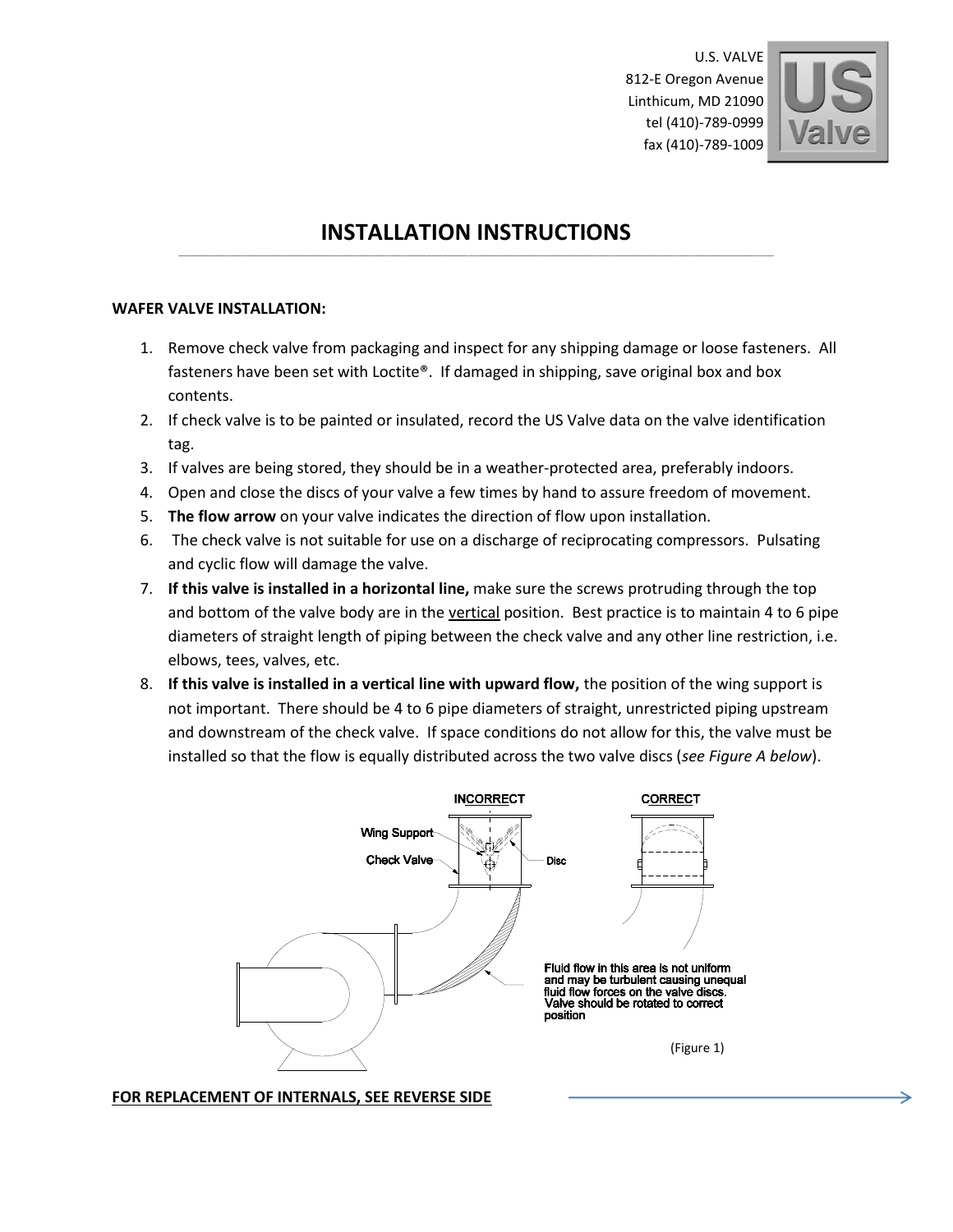U.S. VALVE 812-E Oregon Avenue Linthicum, MD 21090 tel (410)-789-0999 fax (410)-789-1009



## **INSTALLATION INSTRUCTIONS \_\_\_\_\_\_\_\_\_\_\_\_\_\_\_\_\_\_\_\_\_\_\_\_\_\_\_\_\_\_\_\_\_\_\_\_\_\_\_\_\_\_\_\_\_\_\_\_\_\_\_\_\_\_\_\_\_\_\_\_\_\_\_\_\_\_\_\_\_\_\_\_\_\_\_\_\_\_\_\_\_\_\_\_\_\_\_\_\_\_\_\_\_\_\_\_\_\_\_\_\_\_\_\_\_\_\_\_\_\_\_\_\_\_\_\_\_\_\_\_\_\_\_\_\_\_\_\_\_\_\_\_\_\_\_\_\_\_\_\_\_\_\_\_\_\_\_\_\_\_\_\_\_\_\_\_\_\_\_\_\_\_\_\_\_\_\_\_\_\_\_\_\_\_\_\_\_\_\_\_\_\_\_\_\_\_\_\_\_\_\_\_\_\_\_\_\_\_\_\_\_\_\_\_\_\_\_\_\_\_\_\_\_\_\_\_\_\_\_\_\_\_\_\_\_\_\_\_\_\_\_\_\_\_\_\_\_\_\_\_\_\_\_\_\_\_\_\_\_\_\_\_\_\_\_\_**

## **WAFER VALVE INSTALLATION:**

- 1. Remove check valve from packaging and inspect for any shipping damage or loose fasteners. All fasteners have been set with Loctite®. If damaged in shipping, save original box and box contents.
- 2. If check valve is to be painted or insulated, record the US Valve data on the valve identification tag.
- 3. If valves are being stored, they should be in a weather-protected area, preferably indoors.
- 4. Open and close the discs of your valve a few times by hand to assure freedom of movement.
- 5. **The flow arrow** on your valve indicates the direction of flow upon installation.
- 6. The check valve is not suitable for use on a discharge of reciprocating compressors. Pulsating and cyclic flow will damage the valve.
- 7. **If this valve is installed in a horizontal line,** make sure the screws protruding through the top and bottom of the valve body are in the vertical position. Best practice is to maintain 4 to 6 pipe diameters of straight length of piping between the check valve and any other line restriction, i.e. elbows, tees, valves, etc.
- 8. **If this valve is installed in a vertical line with upward flow,** the position of the wing support is not important. There should be 4 to 6 pipe diameters of straight, unrestricted piping upstream and downstream of the check valve. If space conditions do not allow for this, the valve must be installed so that the flow is equally distributed across the two valve discs (*see Figure A below*).



**FOR REPLACEMENT OF INTERNALS, SEE REVERSE SIDE**